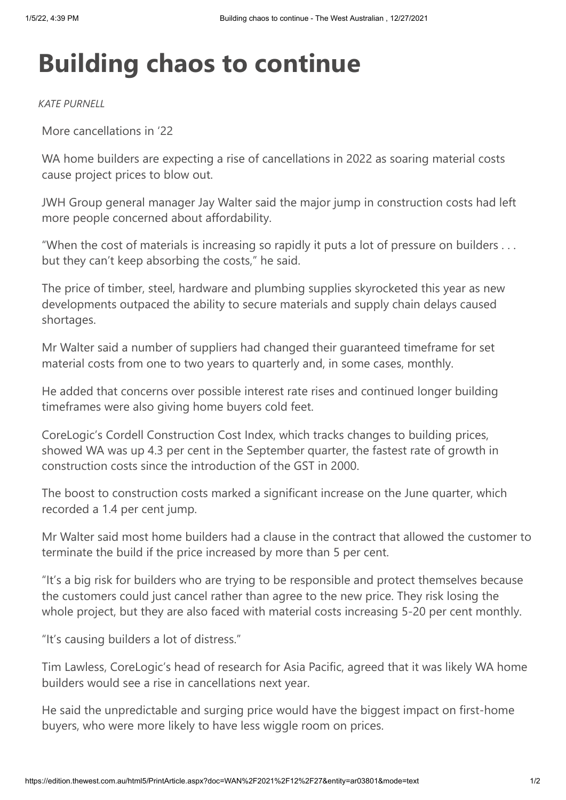## **Building chaos to continue**

*KATE PURNELL*

More cancellations in '22

WA home builders are expecting a rise of cancellations in 2022 as soaring material costs cause project prices to blow out.

JWH Group general manager Jay Walter said the major jump in construction costs had left more people concerned about affordability.

"When the cost of materials is increasing so rapidly it puts a lot of pressure on builders . . . but they can't keep absorbing the costs," he said.

The price of timber, steel, hardware and plumbing supplies skyrocketed this year as new developments outpaced the ability to secure materials and supply chain delays caused shortages.

Mr Walter said a number of suppliers had changed their guaranteed timeframe for set material costs from one to two years to quarterly and, in some cases, monthly.

He added that concerns over possible interest rate rises and continued longer building timeframes were also giving home buyers cold feet.

CoreLogic's Cordell Construction Cost Index, which tracks changes to building prices, showed WA was up 4.3 per cent in the September quarter, the fastest rate of growth in construction costs since the introduction of the GST in 2000.

The boost to construction costs marked a significant increase on the June quarter, which recorded a 1.4 per cent jump.

Mr Walter said most home builders had a clause in the contract that allowed the customer to terminate the build if the price increased by more than 5 per cent.

"It's a big risk for builders who are trying to be responsible and protect themselves because the customers could just cancel rather than agree to the new price. They risk losing the whole project, but they are also faced with material costs increasing 5-20 per cent monthly.

"It's causing builders a lot of distress."

Tim Lawless, CoreLogic's head of research for Asia Pacific, agreed that it was likely WA home builders would see a rise in cancellations next year.

He said the unpredictable and surging price would have the biggest impact on first-home buyers, who were more likely to have less wiggle room on prices.